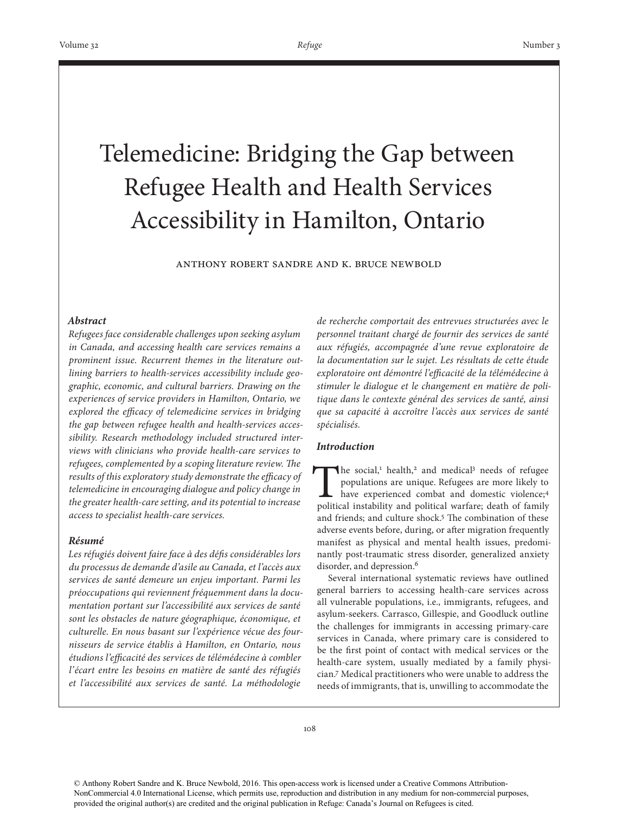# Telemedicine: Bridging the Gap between Refugee Health and Health Services Accessibility in Hamilton, Ontario

Anthony Robert Sandre and K. Bruce Newbold

## *Abstract*

*Refugees face considerable challenges upon seeking asylum in Canada, and accessing health care services remains a prominent issue. Recurrent themes in the literature outlining barriers to health-services accessibility include geographic, economic, and cultural barriers. Drawing on the experiences of service providers in Hamilton, Ontario, we explored the efficacy of telemedicine services in bridging the gap between refugee health and health-services accessibility. Research methodology included structured interviews with clinicians who provide health-care services to refugees, complemented by a scoping literature review. The results of this exploratory study demonstrate the efficacy of telemedicine in encouraging dialogue and policy change in the greater health-care setting, and its potential to increase access to specialist health-care services.*

## *Résumé*

*Les réfugiés doivent faire face à des défis considérables lors du processus de demande d'asile au Canada, et l'accès aux services de santé demeure un enjeu important. Parmi les préoccupations qui reviennent fréquemment dans la documentation portant sur l'accessibilité aux services de santé sont les obstacles de nature géographique, économique, et culturelle. En nous basant sur l'expérience vécue des fournisseurs de service établis à Hamilton, en Ontario, nous étudions l'efficacité des services de télémédecine à combler l'écart entre les besoins en matière de santé des réfugiés et l'accessibilité aux services de santé. La méthodologie* 

*de recherche comportait des entrevues structurées avec le personnel traitant chargé de fournir des services de santé aux réfugiés, accompagnée d'une revue exploratoire de la documentation sur le sujet. Les résultats de cette étude exploratoire ont démontré l'efficacité de la télémédecine à stimuler le dialogue et le changement en matière de politique dans le contexte général des services de santé, ainsi que sa capacité à accroître l'accès aux services de santé spécialisés.* 

# *Introduction*

The social,<sup>1</sup> health,<sup>2</sup> and medical<sup>3</sup> needs of refugee populations are unique. Refugees are more likely to have experienced combat and domestic violence;<sup>4</sup> political instability and political warfare; death of family The social,<sup>1</sup> health,<sup>2</sup> and medical<sup>3</sup> needs of refugee populations are unique. Refugees are more likely to have experienced combat and domestic violence;<sup>4</sup> and friends; and culture shock.<sup>5</sup> The combination of these adverse events before, during, or after migration frequently manifest as physical and mental health issues, predominantly post-traumatic stress disorder, generalized anxiety disorder, and depression.<sup>6</sup>

Several international systematic reviews have outlined general barriers to accessing health-care services across all vulnerable populations, i.e., immigrants, refugees, and asylum-seekers. Carrasco, Gillespie, and Goodluck outline the challenges for immigrants in accessing primary-care services in Canada, where primary care is considered to be the first point of contact with medical services or the health-care system, usually mediated by a family physician.7 Medical practitioners who were unable to address the needs of immigrants, that is, unwilling to accommodate the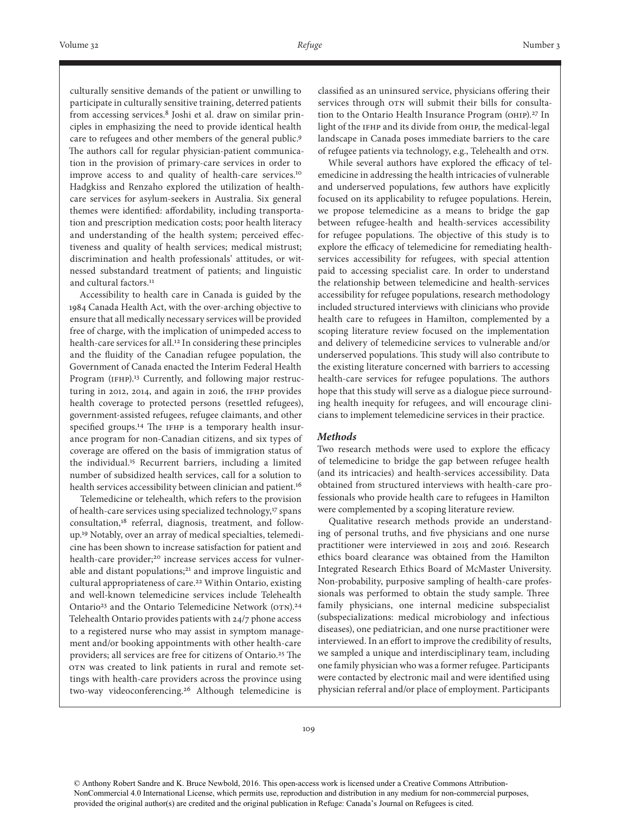culturally sensitive demands of the patient or unwilling to participate in culturally sensitive training, deterred patients from accessing services.8 Joshi et al. draw on similar principles in emphasizing the need to provide identical health care to refugees and other members of the general public.9 The authors call for regular physician-patient communication in the provision of primary-care services in order to improve access to and quality of health-care services.10 Hadgkiss and Renzaho explored the utilization of healthcare services for asylum-seekers in Australia. Six general themes were identified: affordability, including transportation and prescription medication costs; poor health literacy and understanding of the health system; perceived effectiveness and quality of health services; medical mistrust; discrimination and health professionals' attitudes, or witnessed substandard treatment of patients; and linguistic and cultural factors.<sup>11</sup>

Accessibility to health care in Canada is guided by the 1984 Canada Health Act, with the over-arching objective to ensure that all medically necessary services will be provided free of charge, with the implication of unimpeded access to health-care services for all.12 In considering these principles and the fluidity of the Canadian refugee population, the Government of Canada enacted the Interim Federal Health Program (IFHP).<sup>13</sup> Currently, and following major restructuring in 2012, 2014, and again in 2016, the IFHP provides health coverage to protected persons (resettled refugees), government-assisted refugees, refugee claimants, and other specified groups.14 The IFHP is a temporary health insurance program for non-Canadian citizens, and six types of coverage are offered on the basis of immigration status of the individual.15 Recurrent barriers, including a limited number of subsidized health services, call for a solution to health services accessibility between clinician and patient.<sup>16</sup>

Telemedicine or telehealth, which refers to the provision of health-care services using specialized technology,<sup>17</sup> spans consultation,18 referral, diagnosis, treatment, and followup.19 Notably, over an array of medical specialties, telemedicine has been shown to increase satisfaction for patient and health-care provider;<sup>20</sup> increase services access for vulnerable and distant populations;<sup>21</sup> and improve linguistic and cultural appropriateness of care.22 Within Ontario, existing and well-known telemedicine services include Telehealth Ontario23 and the Ontario Telemedicine Network (OTN).24 Telehealth Ontario provides patients with 24/7 phone access to a registered nurse who may assist in symptom management and/or booking appointments with other health-care providers; all services are free for citizens of Ontario.25 The OTN was created to link patients in rural and remote settings with health-care providers across the province using two-way videoconferencing.26 Although telemedicine is

classified as an uninsured service, physicians offering their services through OTN will submit their bills for consultation to the Ontario Health Insurance Program (OHIP).<sup>27</sup> In light of the IFHP and its divide from OHIP, the medical-legal landscape in Canada poses immediate barriers to the care of refugee patients via technology, e.g., Telehealth and OTN.

While several authors have explored the efficacy of telemedicine in addressing the health intricacies of vulnerable and underserved populations, few authors have explicitly focused on its applicability to refugee populations. Herein, we propose telemedicine as a means to bridge the gap between refugee-health and health-services accessibility for refugee populations. The objective of this study is to explore the efficacy of telemedicine for remediating healthservices accessibility for refugees, with special attention paid to accessing specialist care. In order to understand the relationship between telemedicine and health-services accessibility for refugee populations, research methodology included structured interviews with clinicians who provide health care to refugees in Hamilton, complemented by a scoping literature review focused on the implementation and delivery of telemedicine services to vulnerable and/or underserved populations. This study will also contribute to the existing literature concerned with barriers to accessing health-care services for refugee populations. The authors hope that this study will serve as a dialogue piece surrounding health inequity for refugees, and will encourage clinicians to implement telemedicine services in their practice.

## *Methods*

Two research methods were used to explore the efficacy of telemedicine to bridge the gap between refugee health (and its intricacies) and health-services accessibility. Data obtained from structured interviews with health-care professionals who provide health care to refugees in Hamilton were complemented by a scoping literature review.

Qualitative research methods provide an understanding of personal truths, and five physicians and one nurse practitioner were interviewed in 2015 and 2016. Research ethics board clearance was obtained from the Hamilton Integrated Research Ethics Board of McMaster University. Non-probability, purposive sampling of health-care professionals was performed to obtain the study sample. Three family physicians, one internal medicine subspecialist (subspecializations: medical microbiology and infectious diseases), one pediatrician, and one nurse practitioner were interviewed. In an effort to improve the credibility of results, we sampled a unique and interdisciplinary team, including one family physician who was a former refugee. Participants were contacted by electronic mail and were identified using physician referral and/or place of employment. Participants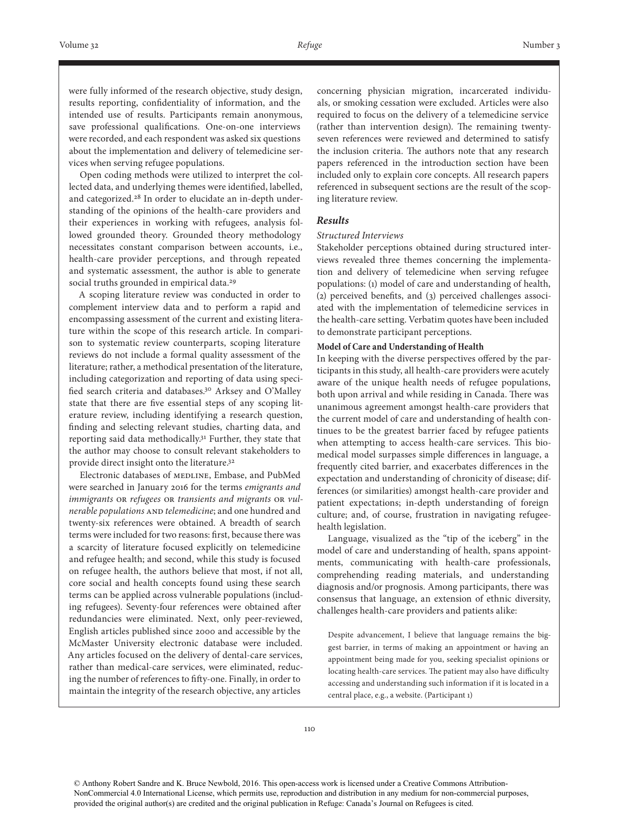were fully informed of the research objective, study design, results reporting, confidentiality of information, and the intended use of results. Participants remain anonymous, save professional qualifications. One-on-one interviews were recorded, and each respondent was asked six questions about the implementation and delivery of telemedicine services when serving refugee populations.

Open coding methods were utilized to interpret the collected data, and underlying themes were identified, labelled, and categorized.28 In order to elucidate an in-depth understanding of the opinions of the health-care providers and their experiences in working with refugees, analysis followed grounded theory. Grounded theory methodology necessitates constant comparison between accounts, i.e., health-care provider perceptions, and through repeated and systematic assessment, the author is able to generate social truths grounded in empirical data.<sup>29</sup>

A scoping literature review was conducted in order to complement interview data and to perform a rapid and encompassing assessment of the current and existing literature within the scope of this research article. In comparison to systematic review counterparts, scoping literature reviews do not include a formal quality assessment of the literature; rather, a methodical presentation of the literature, including categorization and reporting of data using specified search criteria and databases.30 Arksey and O'Malley state that there are five essential steps of any scoping literature review, including identifying a research question, finding and selecting relevant studies, charting data, and reporting said data methodically.31 Further, they state that the author may choose to consult relevant stakeholders to provide direct insight onto the literature.32

Electronic databases of MEDLINE, Embase, and PubMed were searched in January 2016 for the terms *emigrants and immigrants* OR *refugees* OR *transients and migrants* OR *vulnerable populations* AND *telemedicine*; and one hundred and twenty-six references were obtained. A breadth of search terms were included for two reasons: first, because there was a scarcity of literature focused explicitly on telemedicine and refugee health; and second, while this study is focused on refugee health, the authors believe that most, if not all, core social and health concepts found using these search terms can be applied across vulnerable populations (including refugees). Seventy-four references were obtained after redundancies were eliminated. Next, only peer-reviewed, English articles published since 2000 and accessible by the McMaster University electronic database were included. Any articles focused on the delivery of dental-care services, rather than medical-care services, were eliminated, reducing the number of references to fifty-one. Finally, in order to maintain the integrity of the research objective, any articles

concerning physician migration, incarcerated individuals, or smoking cessation were excluded. Articles were also required to focus on the delivery of a telemedicine service (rather than intervention design). The remaining twentyseven references were reviewed and determined to satisfy the inclusion criteria. The authors note that any research papers referenced in the introduction section have been included only to explain core concepts. All research papers referenced in subsequent sections are the result of the scoping literature review.

## *Results*

## *Structured Interviews*

Stakeholder perceptions obtained during structured interviews revealed three themes concerning the implementation and delivery of telemedicine when serving refugee populations: (1) model of care and understanding of health, (2) perceived benefits, and (3) perceived challenges associated with the implementation of telemedicine services in the health-care setting. Verbatim quotes have been included to demonstrate participant perceptions.

#### **Model of Care and Understanding of Health**

In keeping with the diverse perspectives offered by the participants in this study, all health-care providers were acutely aware of the unique health needs of refugee populations, both upon arrival and while residing in Canada. There was unanimous agreement amongst health-care providers that the current model of care and understanding of health continues to be the greatest barrier faced by refugee patients when attempting to access health-care services. This biomedical model surpasses simple differences in language, a frequently cited barrier, and exacerbates differences in the expectation and understanding of chronicity of disease; differences (or similarities) amongst health-care provider and patient expectations; in-depth understanding of foreign culture; and, of course, frustration in navigating refugeehealth legislation.

Language, visualized as the "tip of the iceberg" in the model of care and understanding of health, spans appointments, communicating with health-care professionals, comprehending reading materials, and understanding diagnosis and/or prognosis. Among participants, there was consensus that language, an extension of ethnic diversity, challenges health-care providers and patients alike:

Despite advancement, I believe that language remains the biggest barrier, in terms of making an appointment or having an appointment being made for you, seeking specialist opinions or locating health-care services. The patient may also have difficulty accessing and understanding such information if it is located in a central place, e.g., a website. (Participant 1)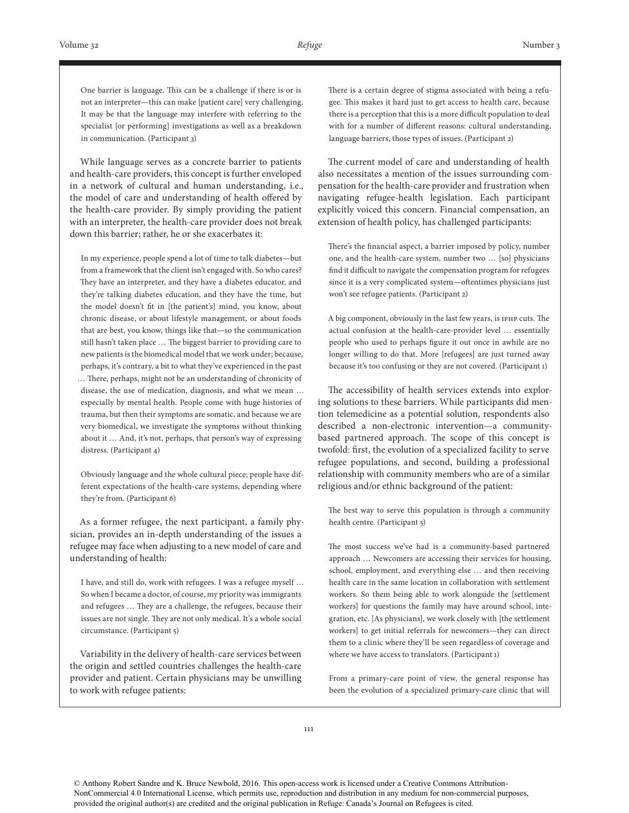One barrier is language. This can be a challenge if there is or is not an interpreter—this can make [patient care] very challenging. It may be that the language may interfere with referring to the specialist [or performing] investigations as well as a breakdown in communication. (Participant 3)

While language serves as a concrete barrier to patients and health-care providers, this concept is further enveloped in a network of cultural and human understanding, i.e., the model of care and understanding of health offered by the health-care provider. By simply providing the patient with an interpreter, the health-care provider does not break down this barrier; rather, he or she exacerbates it:

In my experience, people spend a lot of time to talk diabetes—but from a framework that the client isn't engaged with. So who cares? They have an interpreter, and they have a diabetes educator, and they're talking diabetes education, and they have the time, but the model doesn't fit in [the patient's] mind, you know, about chronic disease, or about lifestyle management, or about foods that are best, you know, things like that—so the communication still hasn't taken place … The biggest barrier to providing care to new patients is the biomedical model that we work under; because, perhaps, it's contrary, a bit to what they've experienced in the past … There, perhaps, might not be an understanding of chronicity of disease, the use of medication, diagnosis, and what we mean … especially by mental health. People come with huge histories of trauma, but then their symptoms are somatic, and because we are very biomedical, we investigate the symptoms without thinking about it … And, it's not, perhaps, that person's way of expressing distress. (Participant 4)

Obviously language and the whole cultural piece; people have different expectations of the health-care systems, depending where they're from. (Participant 6)

As a former refugee, the next participant, a family physician, provides an in-depth understanding of the issues a refugee may face when adjusting to a new model of care and understanding of health:

I have, and still do, work with refugees. I was a refugee myself … So when I became a doctor, of course, my priority was immigrants and refugees … They are a challenge, the refugees, because their issues are not single. They are not only medical. It's a whole social circumstance. (Participant 5)

Variability in the delivery of health-care services between the origin and settled countries challenges the health-care provider and patient. Certain physicians may be unwilling to work with refugee patients:

There is a certain degree of stigma associated with being a refugee. This makes it hard just to get access to health care, because there is a perception that this is a more difficult population to deal with for a number of different reasons: cultural understanding, language barriers, those types of issues. (Participant 2)

The current model of care and understanding of health also necessitates a mention of the issues surrounding compensation for the health-care provider and frustration when navigating refugee-health legislation. Each participant explicitly voiced this concern. Financial compensation, an extension of health policy, has challenged participants:

There's the financial aspect, a barrier imposed by policy, number one, and the health-care system, number two … [so] physicians find it difficult to navigate the compensation program for refugees since it is a very complicated system—oftentimes physicians just won't see refugee patients. (Participant 2)

A big component, obviously in the last few years, is IFHP cuts. The actual confusion at the health-care-provider level … essentially people who used to perhaps figure it out once in awhile are no longer willing to do that. More [refugees] are just turned away because it's too confusing or they are not covered. (Participant 1)

The accessibility of health services extends into exploring solutions to these barriers. While participants did mention telemedicine as a potential solution, respondents also described a non-electronic intervention—a communitybased partnered approach. The scope of this concept is twofold: first, the evolution of a specialized facility to serve refugee populations, and second, building a professional relationship with community members who are of a similar religious and/or ethnic background of the patient:

The best way to serve this population is through a community health centre. (Participant 5)

The most success we've had is a community-based partnered approach … Newcomers are accessing their services for housing, school, employment, and everything else … and then receiving health care in the same location in collaboration with settlement workers. So them being able to work alongside the [settlement workers] for questions the family may have around school, integration, etc. [As physicians], we work closely with [the settlement workers] to get initial referrals for newcomers—they can direct them to a clinic where they'll be seen regardless of coverage and where we have access to translators. (Participant 1)

From a primary-care point of view, the general response has been the evolution of a specialized primary-care clinic that will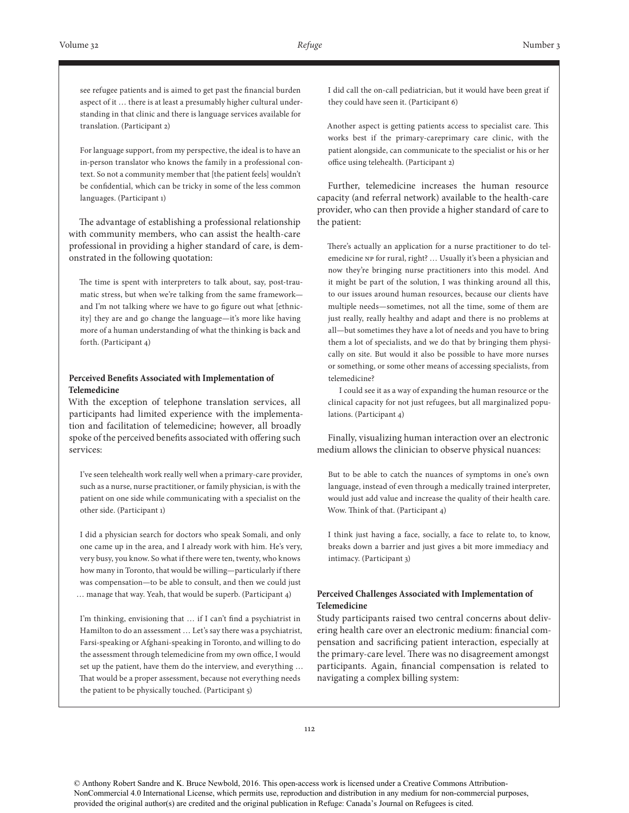see refugee patients and is aimed to get past the financial burden aspect of it … there is at least a presumably higher cultural understanding in that clinic and there is language services available for translation. (Participant 2)

For language support, from my perspective, the ideal is to have an in-person translator who knows the family in a professional context. So not a community member that [the patient feels] wouldn't be confidential, which can be tricky in some of the less common languages. (Participant 1)

The advantage of establishing a professional relationship with community members, who can assist the health-care professional in providing a higher standard of care, is demonstrated in the following quotation:

The time is spent with interpreters to talk about, say, post-traumatic stress, but when we're talking from the same framework and I'm not talking where we have to go figure out what [ethnicity] they are and go change the language—it's more like having more of a human understanding of what the thinking is back and forth. (Participant 4)

# **Perceived Benefits Associated with Implementation of Telemedicine**

With the exception of telephone translation services, all participants had limited experience with the implementation and facilitation of telemedicine; however, all broadly spoke of the perceived benefits associated with offering such services:

I've seen telehealth work really well when a primary-care provider, such as a nurse, nurse practitioner, or family physician, is with the patient on one side while communicating with a specialist on the other side. (Participant 1)

I did a physician search for doctors who speak Somali, and only one came up in the area, and I already work with him. He's very, very busy, you know. So what if there were ten, twenty, who knows how many in Toronto, that would be willing—particularly if there was compensation—to be able to consult, and then we could just … manage that way. Yeah, that would be superb. (Participant 4)

I'm thinking, envisioning that … if I can't find a psychiatrist in Hamilton to do an assessment … Let's say there was a psychiatrist, Farsi-speaking or Afghani-speaking in Toronto, and willing to do the assessment through telemedicine from my own office, I would set up the patient, have them do the interview, and everything … That would be a proper assessment, because not everything needs the patient to be physically touched. (Participant 5)

I did call the on-call pediatrician, but it would have been great if they could have seen it. (Participant 6)

Another aspect is getting patients access to specialist care. This works best if the primary-careprimary care clinic, with the patient alongside, can communicate to the specialist or his or her office using telehealth. (Participant 2)

Further, telemedicine increases the human resource capacity (and referral network) available to the health-care provider, who can then provide a higher standard of care to the patient:

There's actually an application for a nurse practitioner to do telemedicine NP for rural, right? … Usually it's been a physician and now they're bringing nurse practitioners into this model. And it might be part of the solution, I was thinking around all this, to our issues around human resources, because our clients have multiple needs—sometimes, not all the time, some of them are just really, really healthy and adapt and there is no problems at all—but sometimes they have a lot of needs and you have to bring them a lot of specialists, and we do that by bringing them physically on site. But would it also be possible to have more nurses or something, or some other means of accessing specialists, from telemedicine?

I could see it as a way of expanding the human resource or the clinical capacity for not just refugees, but all marginalized populations. (Participant 4)

Finally, visualizing human interaction over an electronic medium allows the clinician to observe physical nuances:

But to be able to catch the nuances of symptoms in one's own language, instead of even through a medically trained interpreter, would just add value and increase the quality of their health care. Wow. Think of that. (Participant 4)

I think just having a face, socially, a face to relate to, to know, breaks down a barrier and just gives a bit more immediacy and intimacy. (Participant 3)

## **Perceived Challenges Associated with Implementation of Telemedicine**

Study participants raised two central concerns about delivering health care over an electronic medium: financial compensation and sacrificing patient interaction, especially at the primary-care level. There was no disagreement amongst participants. Again, financial compensation is related to navigating a complex billing system: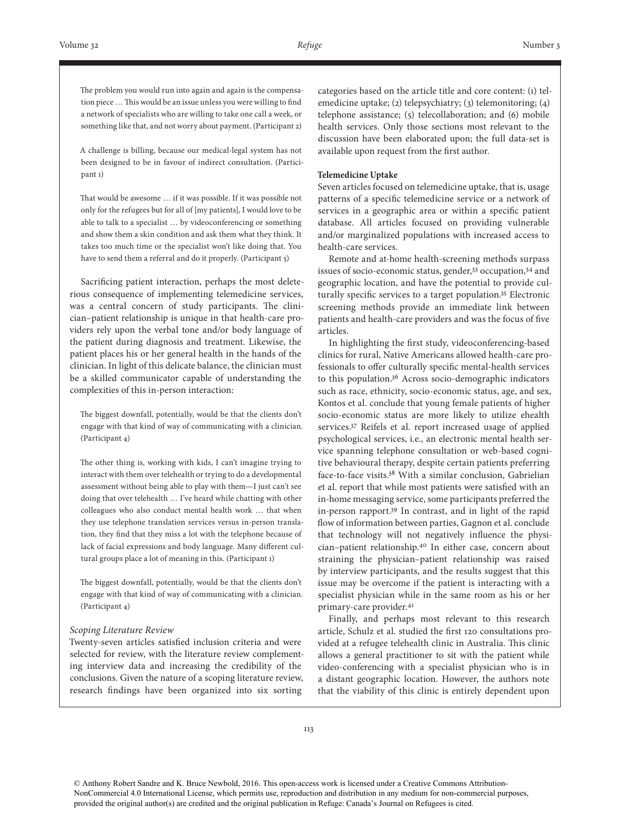The problem you would run into again and again is the compensation piece … This would be an issue unless you were willing to find a network of specialists who are willing to take one call a week, or something like that, and not worry about payment. (Participant 2)

A challenge is billing, because our medical-legal system has not been designed to be in favour of indirect consultation. (Participant 1)

That would be awesome … if it was possible. If it was possible not only for the refugees but for all of [my patients], I would love to be able to talk to a specialist … by videoconferencing or something and show them a skin condition and ask them what they think. It takes too much time or the specialist won't like doing that. You have to send them a referral and do it properly. (Participant 5)

Sacrificing patient interaction, perhaps the most deleterious consequence of implementing telemedicine services, was a central concern of study participants. The clinician–patient relationship is unique in that health-care providers rely upon the verbal tone and/or body language of the patient during diagnosis and treatment. Likewise, the patient places his or her general health in the hands of the clinician. In light of this delicate balance, the clinician must be a skilled communicator capable of understanding the complexities of this in-person interaction:

The biggest downfall, potentially, would be that the clients don't engage with that kind of way of communicating with a clinician. (Participant 4)

The other thing is, working with kids, I can't imagine trying to interact with them over telehealth or trying to do a developmental assessment without being able to play with them—I just can't see doing that over telehealth … I've heard while chatting with other colleagues who also conduct mental health work … that when they use telephone translation services versus in-person translation, they find that they miss a lot with the telephone because of lack of facial expressions and body language. Many different cultural groups place a lot of meaning in this. (Participant 1)

The biggest downfall, potentially, would be that the clients don't engage with that kind of way of communicating with a clinician. (Participant 4)

#### *Scoping Literature Review*

Twenty-seven articles satisfied inclusion criteria and were selected for review, with the literature review complementing interview data and increasing the credibility of the conclusions. Given the nature of a scoping literature review, research findings have been organized into six sorting

categories based on the article title and core content: (1) telemedicine uptake; (2) telepsychiatry; (3) telemonitoring; (4) telephone assistance; (5) telecollaboration; and (6) mobile health services. Only those sections most relevant to the discussion have been elaborated upon; the full data-set is available upon request from the first author.

#### **Telemedicine Uptake**

Seven articles focused on telemedicine uptake, that is, usage patterns of a specific telemedicine service or a network of services in a geographic area or within a specific patient database. All articles focused on providing vulnerable and/or marginalized populations with increased access to health-care services.

Remote and at-home health-screening methods surpass issues of socio-economic status, gender,<sup>33</sup> occupation,<sup>34</sup> and geographic location, and have the potential to provide culturally specific services to a target population.35 Electronic screening methods provide an immediate link between patients and health-care providers and was the focus of five articles.

In highlighting the first study, videoconferencing-based clinics for rural, Native Americans allowed health-care professionals to offer culturally specific mental-health services to this population.36 Across socio-demographic indicators such as race, ethnicity, socio-economic status, age, and sex, Kontos et al. conclude that young female patients of higher socio-economic status are more likely to utilize ehealth services.37 Reifels et al. report increased usage of applied psychological services, i.e., an electronic mental health service spanning telephone consultation or web-based cognitive behavioural therapy, despite certain patients preferring face-to-face visits.38 With a similar conclusion, Gabrielian et al. report that while most patients were satisfied with an in-home messaging service, some participants preferred the in-person rapport.39 In contrast, and in light of the rapid flow of information between parties, Gagnon et al. conclude that technology will not negatively influence the physician–patient relationship.40 In either case, concern about straining the physician–patient relationship was raised by interview participants, and the results suggest that this issue may be overcome if the patient is interacting with a specialist physician while in the same room as his or her primary-care provider.<sup>41</sup>

Finally, and perhaps most relevant to this research article, Schulz et al. studied the first 120 consultations provided at a refugee telehealth clinic in Australia. This clinic allows a general practitioner to sit with the patient while video-conferencing with a specialist physician who is in a distant geographic location. However, the authors note that the viability of this clinic is entirely dependent upon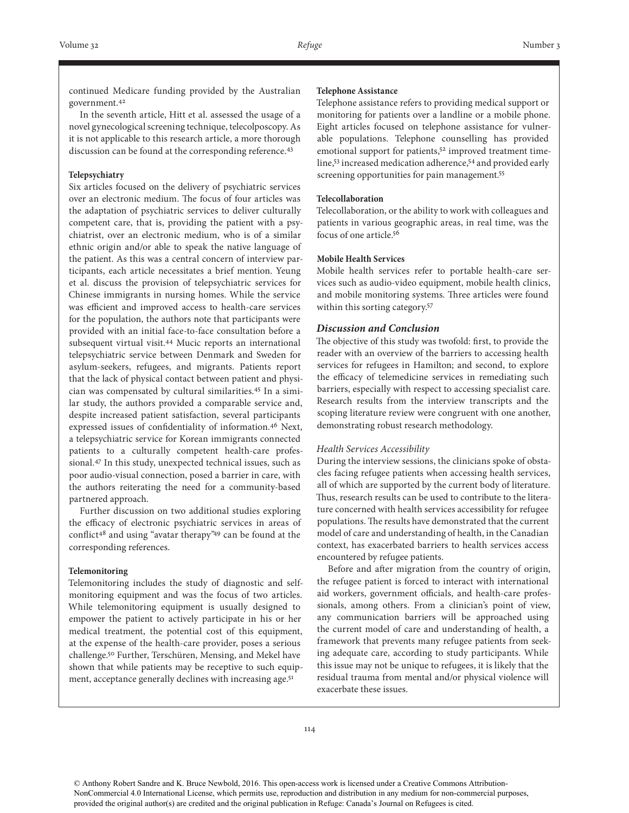continued Medicare funding provided by the Australian government.<sup>42</sup>

In the seventh article, Hitt et al. assessed the usage of a novel gynecological screening technique, telecolposcopy. As it is not applicable to this research article, a more thorough discussion can be found at the corresponding reference.<sup>43</sup>

### **Telepsychiatry**

Six articles focused on the delivery of psychiatric services over an electronic medium. The focus of four articles was the adaptation of psychiatric services to deliver culturally competent care, that is, providing the patient with a psychiatrist, over an electronic medium, who is of a similar ethnic origin and/or able to speak the native language of the patient. As this was a central concern of interview participants, each article necessitates a brief mention. Yeung et al. discuss the provision of telepsychiatric services for Chinese immigrants in nursing homes. While the service was efficient and improved access to health-care services for the population, the authors note that participants were provided with an initial face-to-face consultation before a subsequent virtual visit.44 Mucic reports an international telepsychiatric service between Denmark and Sweden for asylum-seekers, refugees, and migrants. Patients report that the lack of physical contact between patient and physician was compensated by cultural similarities.45 In a similar study, the authors provided a comparable service and, despite increased patient satisfaction, several participants expressed issues of confidentiality of information.46 Next, a telepsychiatric service for Korean immigrants connected patients to a culturally competent health-care professional.47 In this study, unexpected technical issues, such as poor audio-visual connection, posed a barrier in care, with the authors reiterating the need for a community-based partnered approach.

Further discussion on two additional studies exploring the efficacy of electronic psychiatric services in areas of conflict<sup>48</sup> and using "avatar therapy"<sup>49</sup> can be found at the corresponding references.

#### **Telemonitoring**

Telemonitoring includes the study of diagnostic and selfmonitoring equipment and was the focus of two articles. While telemonitoring equipment is usually designed to empower the patient to actively participate in his or her medical treatment, the potential cost of this equipment, at the expense of the health-care provider, poses a serious challenge.50 Further, Terschüren, Mensing, and Mekel have shown that while patients may be receptive to such equipment, acceptance generally declines with increasing age.<sup>51</sup>

## **Telephone Assistance**

Telephone assistance refers to providing medical support or monitoring for patients over a landline or a mobile phone. Eight articles focused on telephone assistance for vulnerable populations. Telephone counselling has provided emotional support for patients,<sup>52</sup> improved treatment timeline,53 increased medication adherence,54 and provided early screening opportunities for pain management.55

# **Telecollaboration**

Telecollaboration, or the ability to work with colleagues and patients in various geographic areas, in real time, was the focus of one article.56

# **Mobile Health Services**

Mobile health services refer to portable health-care services such as audio-video equipment, mobile health clinics, and mobile monitoring systems. Three articles were found within this sorting category.57

# *Discussion and Conclusion*

The objective of this study was twofold: first, to provide the reader with an overview of the barriers to accessing health services for refugees in Hamilton; and second, to explore the efficacy of telemedicine services in remediating such barriers, especially with respect to accessing specialist care. Research results from the interview transcripts and the scoping literature review were congruent with one another, demonstrating robust research methodology.

#### *Health Services Accessibility*

During the interview sessions, the clinicians spoke of obstacles facing refugee patients when accessing health services, all of which are supported by the current body of literature. Thus, research results can be used to contribute to the literature concerned with health services accessibility for refugee populations. The results have demonstrated that the current model of care and understanding of health, in the Canadian context, has exacerbated barriers to health services access encountered by refugee patients.

Before and after migration from the country of origin, the refugee patient is forced to interact with international aid workers, government officials, and health-care professionals, among others. From a clinician's point of view, any communication barriers will be approached using the current model of care and understanding of health, a framework that prevents many refugee patients from seeking adequate care, according to study participants. While this issue may not be unique to refugees, it is likely that the residual trauma from mental and/or physical violence will exacerbate these issues.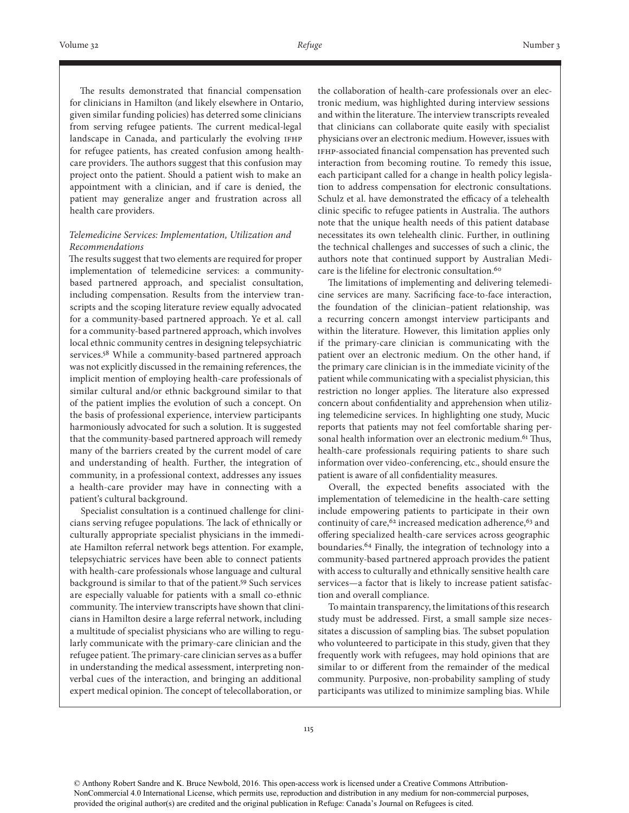The results demonstrated that financial compensation for clinicians in Hamilton (and likely elsewhere in Ontario, given similar funding policies) has deterred some clinicians from serving refugee patients. The current medical-legal landscape in Canada, and particularly the evolving IFHP for refugee patients, has created confusion among healthcare providers. The authors suggest that this confusion may project onto the patient. Should a patient wish to make an appointment with a clinician, and if care is denied, the patient may generalize anger and frustration across all health care providers.

# *Telemedicine Services: Implementation, Utilization and Recommendations*

The results suggest that two elements are required for proper implementation of telemedicine services: a communitybased partnered approach, and specialist consultation, including compensation. Results from the interview transcripts and the scoping literature review equally advocated for a community-based partnered approach. Ye et al. call for a community-based partnered approach, which involves local ethnic community centres in designing telepsychiatric services.58 While a community-based partnered approach was not explicitly discussed in the remaining references, the implicit mention of employing health-care professionals of similar cultural and/or ethnic background similar to that of the patient implies the evolution of such a concept. On the basis of professional experience, interview participants harmoniously advocated for such a solution. It is suggested that the community-based partnered approach will remedy many of the barriers created by the current model of care and understanding of health. Further, the integration of community, in a professional context, addresses any issues a health-care provider may have in connecting with a patient's cultural background.

Specialist consultation is a continued challenge for clinicians serving refugee populations. The lack of ethnically or culturally appropriate specialist physicians in the immediate Hamilton referral network begs attention. For example, telepsychiatric services have been able to connect patients with health-care professionals whose language and cultural background is similar to that of the patient.59 Such services are especially valuable for patients with a small co-ethnic community. The interview transcripts have shown that clinicians in Hamilton desire a large referral network, including a multitude of specialist physicians who are willing to regularly communicate with the primary-care clinician and the refugee patient. The primary-care clinician serves as a buffer in understanding the medical assessment, interpreting nonverbal cues of the interaction, and bringing an additional expert medical opinion. The concept of telecollaboration, or

the collaboration of health-care professionals over an electronic medium, was highlighted during interview sessions and within the literature. The interview transcripts revealed that clinicians can collaborate quite easily with specialist physicians over an electronic medium. However, issues with IFHP-associated financial compensation has prevented such interaction from becoming routine. To remedy this issue, each participant called for a change in health policy legislation to address compensation for electronic consultations. Schulz et al. have demonstrated the efficacy of a telehealth clinic specific to refugee patients in Australia. The authors note that the unique health needs of this patient database necessitates its own telehealth clinic. Further, in outlining the technical challenges and successes of such a clinic, the authors note that continued support by Australian Medicare is the lifeline for electronic consultation.<sup>60</sup>

The limitations of implementing and delivering telemedicine services are many. Sacrificing face-to-face interaction, the foundation of the clinician–patient relationship, was a recurring concern amongst interview participants and within the literature. However, this limitation applies only if the primary-care clinician is communicating with the patient over an electronic medium. On the other hand, if the primary care clinician is in the immediate vicinity of the patient while communicating with a specialist physician, this restriction no longer applies. The literature also expressed concern about confidentiality and apprehension when utilizing telemedicine services. In highlighting one study, Mucic reports that patients may not feel comfortable sharing personal health information over an electronic medium.<sup>61</sup> Thus, health-care professionals requiring patients to share such information over video-conferencing, etc., should ensure the patient is aware of all confidentiality measures.

Overall, the expected benefits associated with the implementation of telemedicine in the health-care setting include empowering patients to participate in their own continuity of care,  $62$  increased medication adherence,  $63$  and offering specialized health-care services across geographic boundaries.64 Finally, the integration of technology into a community-based partnered approach provides the patient with access to culturally and ethnically sensitive health care services—a factor that is likely to increase patient satisfaction and overall compliance.

To maintain transparency, the limitations of this research study must be addressed. First, a small sample size necessitates a discussion of sampling bias. The subset population who volunteered to participate in this study, given that they frequently work with refugees, may hold opinions that are similar to or different from the remainder of the medical community. Purposive, non-probability sampling of study participants was utilized to minimize sampling bias. While

<sup>©</sup> Anthony Robert Sandre and K. Bruce Newbold, 2016. This open-access work is licensed under a Creative Commons Attribution-NonCommercial 4.0 International License, which permits use, reproduction and distribution in any medium for non-commercial purposes, provided the original author(s) are credited and the original publication in Refuge: Canada's Journal on Refugees is cited.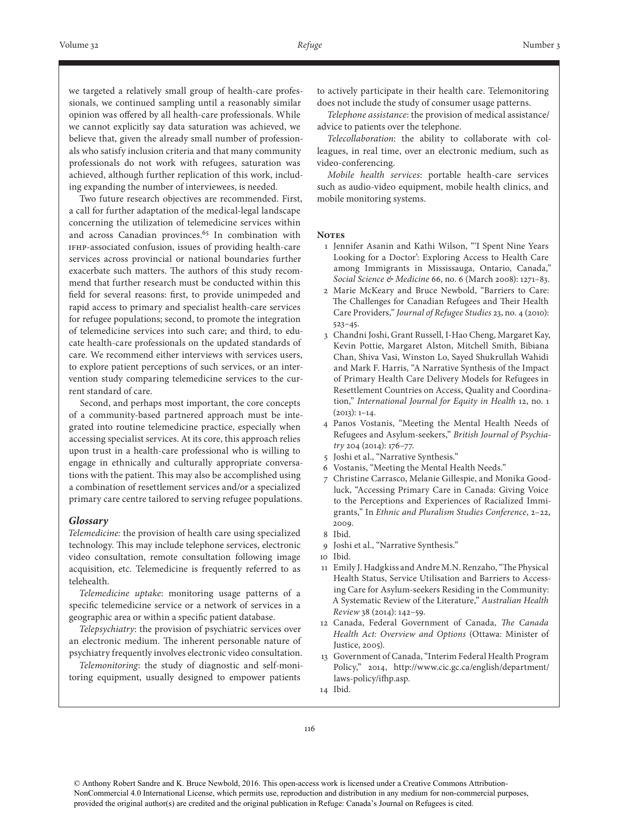we targeted a relatively small group of health-care professionals, we continued sampling until a reasonably similar opinion was offered by all health-care professionals. While we cannot explicitly say data saturation was achieved, we believe that, given the already small number of professionals who satisfy inclusion criteria and that many community professionals do not work with refugees, saturation was achieved, although further replication of this work, including expanding the number of interviewees, is needed.

Two future research objectives are recommended. First, a call for further adaptation of the medical-legal landscape concerning the utilization of telemedicine services within and across Canadian provinces.<sup>65</sup> In combination with IFHP-associated confusion, issues of providing health-care services across provincial or national boundaries further exacerbate such matters. The authors of this study recommend that further research must be conducted within this field for several reasons: first, to provide unimpeded and rapid access to primary and specialist health-care services for refugee populations; second, to promote the integration of telemedicine services into such care; and third, to educate health-care professionals on the updated standards of care. We recommend either interviews with services users, to explore patient perceptions of such services, or an intervention study comparing telemedicine services to the current standard of care.

Second, and perhaps most important, the core concepts of a community-based partnered approach must be integrated into routine telemedicine practice, especially when accessing specialist services. At its core, this approach relies upon trust in a health-care professional who is willing to engage in ethnically and culturally appropriate conversations with the patient. This may also be accomplished using a combination of resettlement services and/or a specialized primary care centre tailored to serving refugee populations.

## *Glossary*

*Telemedicine:* the provision of health care using specialized technology. This may include telephone services, electronic video consultation, remote consultation following image acquisition, etc. Telemedicine is frequently referred to as telehealth.

*Telemedicine uptake*: monitoring usage patterns of a specific telemedicine service or a network of services in a geographic area or within a specific patient database.

*Telepsychiatry*: the provision of psychiatric services over an electronic medium. The inherent personable nature of psychiatry frequently involves electronic video consultation.

*Telemonitoring*: the study of diagnostic and self-monitoring equipment, usually designed to empower patients

to actively participate in their health care. Telemonitoring does not include the study of consumer usage patterns.

*Telephone assistance*: the provision of medical assistance/ advice to patients over the telephone.

*Telecollaboration*: the ability to collaborate with colleagues, in real time, over an electronic medium, such as video-conferencing.

*Mobile health services*: portable health-care services such as audio-video equipment, mobile health clinics, and mobile monitoring systems.

#### **Notes**

- 1 Jennifer Asanin and Kathi Wilson, "'I Spent Nine Years Looking for a Doctor': Exploring Access to Health Care among Immigrants in Mississauga, Ontario, Canada," *Social Science & Medicine* 66, no. 6 (March 2008): 1271–83.
- 2 Marie McKeary and Bruce Newbold, "Barriers to Care: The Challenges for Canadian Refugees and Their Health Care Providers," *Journal of Refugee Studies* 23, no. 4 (2010): 523–45.
- 3 Chandni Joshi, Grant Russell, I-Hao Cheng, Margaret Kay, Kevin Pottie, Margaret Alston, Mitchell Smith, Bibiana Chan, Shiva Vasi, Winston Lo, Sayed Shukrullah Wahidi and Mark F. Harris, "A Narrative Synthesis of the Impact of Primary Health Care Delivery Models for Refugees in Resettlement Countries on Access, Quality and Coordination," *International Journal for Equity in Health* 12, no. 1  $(2013): 1-14.$
- 4 Panos Vostanis, "Meeting the Mental Health Needs of Refugees and Asylum-seekers," *British Journal of Psychiatry* 204 (2014): 176–77.
- 5 Joshi et al., "Narrative Synthesis."
- 6 Vostanis, "Meeting the Mental Health Needs."
- 7 Christine Carrasco, Melanie Gillespie, and Monika Goodluck, "Accessing Primary Care in Canada: Giving Voice to the Perceptions and Experiences of Racialized Immigrants," In *Ethnic and Pluralism Studies Conference*, 2–22, 2009.
- 8 Ibid.
- 9 Joshi et al., "Narrative Synthesis."

10 Ibid.

- 11 Emily J. Hadgkiss and Andre M.N. Renzaho, "The Physical Health Status, Service Utilisation and Barriers to Accessing Care for Asylum-seekers Residing in the Community: A Systematic Review of the Literature," *Australian Health Review* 38 (2014): 142–59.
- 12 Canada, Federal Government of Canada, *The Canada Health Act: Overview and Options* (Ottawa: Minister of Justice, 2005).
- 13 Government of Canada, "Interim Federal Health Program Policy," 2014, http://www.cic.gc.ca/english/department/ laws-policy/ifhp.asp.
- 14 Ibid.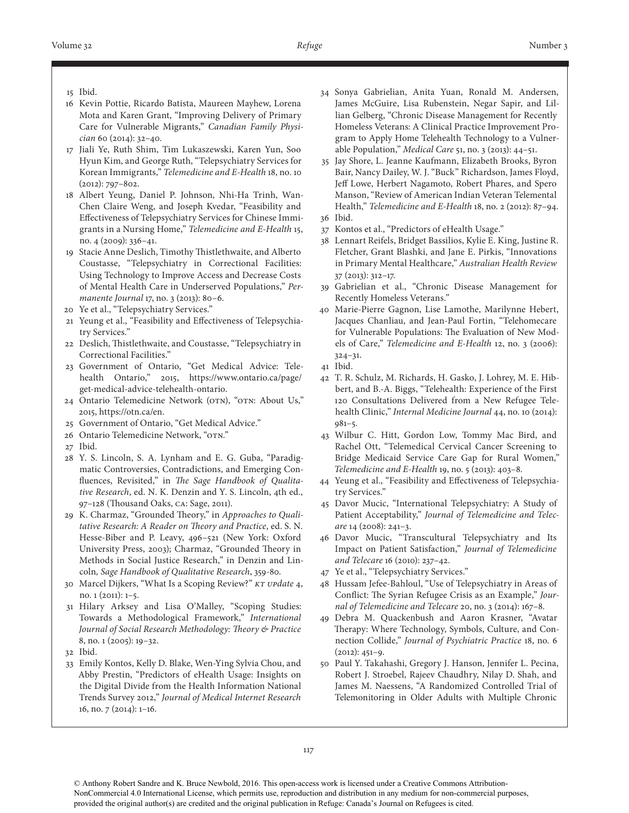- 16 Kevin Pottie, Ricardo Batista, Maureen Mayhew, Lorena Mota and Karen Grant, "Improving Delivery of Primary Care for Vulnerable Migrants," *Canadian Family Physician* 60 (2014): 32–40.
- 17 Jiali Ye, Ruth Shim, Tim Lukaszewski, Karen Yun, Soo Hyun Kim, and George Ruth, "Telepsychiatry Services for Korean Immigrants," *Telemedicine and E-Health* 18, no. 10 (2012): 797–802.
- 18 Albert Yeung, Daniel P. Johnson, Nhi-Ha Trinh, Wan-Chen Claire Weng, and Joseph Kvedar, "Feasibility and Effectiveness of Telepsychiatry Services for Chinese Immigrants in a Nursing Home," *Telemedicine and E-Health* 15, no. 4 (2009): 336–41.
- 19 Stacie Anne Deslich, Timothy Thistlethwaite, and Alberto Coustasse, "Telepsychiatry in Correctional Facilities: Using Technology to Improve Access and Decrease Costs of Mental Health Care in Underserved Populations," *Permanente Journal* 17, no. 3 (2013): 80–6.
- 20 Ye et al., "Telepsychiatry Services."
- 21 Yeung et al., "Feasibility and Effectiveness of Telepsychiatry Services."
- 22 Deslich, Thistlethwaite, and Coustasse, "Telepsychiatry in Correctional Facilities."
- 23 Government of Ontario, "Get Medical Advice: Telehealth Ontario," 2015, https://www.ontario.ca/page/ get-medical-advice-telehealth-ontario.
- 24 Ontario Telemedicine Network (OTN), "OTN: About Us," 2015, https://otn.ca/en.
- 25 Government of Ontario, "Get Medical Advice."
- 26 Ontario Telemedicine Network, "OTN."
- 27 Ibid.
- 28 Y. S. Lincoln, S. A. Lynham and E. G. Guba, "Paradigmatic Controversies, Contradictions, and Emerging Confluences, Revisited," in *The Sage Handbook of Qualitative Research*, ed. N. K. Denzin and Y. S. Lincoln, 4th ed., 97–128 (Thousand Oaks, CA: Sage, 2011).
- 29 K. Charmaz, "Grounded Theory," in *Approaches to Qualitative Research: A Reader on Theory and Practice*, ed. S. N. Hesse-Biber and P. Leavy, 496–521 (New York: Oxford University Press, 2003); Charmaz, "Grounded Theory in Methods in Social Justice Research," in Denzin and Lincoln*, Sage Handbook of Qualitative Research*, 359-80.
- 30 Marcel Dijkers, "What Is a Scoping Review?" *KT UPdate* 4, no. 1 (2011): 1–5.
- 31 Hilary Arksey and Lisa O'Malley, "Scoping Studies: Towards a Methodological Framework," *International Journal of Social Research Methodology: Theory & Practice* 8, no. 1 (2005): 19–32.
- 32 Ibid.
- 33 Emily Kontos, Kelly D. Blake, Wen-Ying Sylvia Chou, and Abby Prestin, "Predictors of eHealth Usage: Insights on the Digital Divide from the Health Information National Trends Survey 2012," *Journal of Medical Internet Research* 16, no. 7 (2014): 1–16.
- 34 Sonya Gabrielian, Anita Yuan, Ronald M. Andersen, James McGuire, Lisa Rubenstein, Negar Sapir, and Lillian Gelberg, "Chronic Disease Management for Recently Homeless Veterans: A Clinical Practice Improvement Program to Apply Home Telehealth Technology to a Vulnerable Population," *Medical Care* 51, no. 3 (2013): 44–51.
- 35 Jay Shore, L. Jeanne Kaufmann, Elizabeth Brooks, Byron Bair, Nancy Dailey, W. J. "Buck" Richardson, James Floyd, Jeff Lowe, Herbert Nagamoto, Robert Phares, and Spero Manson, "Review of American Indian Veteran Telemental Health," *Telemedicine and E-Health* 18, no. 2 (2012): 87–94. 36 Ibid.
- 
- 37 Kontos et al., "Predictors of eHealth Usage."
- 38 Lennart Reifels, Bridget Bassilios, Kylie E. King, Justine R. Fletcher, Grant Blashki, and Jane E. Pirkis, "Innovations in Primary Mental Healthcare," *Australian Health Review* 37 (2013): 312–17.
- 39 Gabrielian et al., "Chronic Disease Management for Recently Homeless Veterans."
- 40 Marie-Pierre Gagnon, Lise Lamothe, Marilynne Hebert, Jacques Chanliau, and Jean-Paul Fortin, "Telehomecare for Vulnerable Populations: The Evaluation of New Models of Care," *Telemedicine and E-Health* 12, no. 3 (2006): 324–31.
- 41 Ibid.
- 42 T. R. Schulz, M. Richards, H. Gasko, J. Lohrey, M. E. Hibbert, and B.-A. Biggs, "Telehealth: Experience of the First 120 Consultations Delivered from a New Refugee Telehealth Clinic," *Internal Medicine Journal* 44, no. 10 (2014): 981–5.
- 43 Wilbur C. Hitt, Gordon Low, Tommy Mac Bird, and Rachel Ott, "Telemedical Cervical Cancer Screening to Bridge Medicaid Service Care Gap for Rural Women," *Telemedicine and E-Health* 19, no. 5 (2013): 403–8.
- 44 Yeung et al., "Feasibility and Effectiveness of Telepsychiatry Services."
- 45 Davor Mucic, "International Telepsychiatry: A Study of Patient Acceptability," *Journal of Telemedicine and Telecare* 14 (2008): 241–3.
- 46 Davor Mucic, "Transcultural Telepsychiatry and Its Impact on Patient Satisfaction," *Journal of Telemedicine and Telecare* 16 (2010): 237–42.
- 47 Ye et al., "Telepsychiatry Services."
- 48 Hussam Jefee-Bahloul, "Use of Telepsychiatry in Areas of Conflict: The Syrian Refugee Crisis as an Example," *Journal of Telemedicine and Telecare* 20, no. 3 (2014): 167–8.
- 49 Debra M. Quackenbush and Aaron Krasner, "Avatar Therapy: Where Technology, Symbols, Culture, and Connection Collide," *Journal of Psychiatric Practice* 18, no. 6  $(2012): 451 - 9.$
- 50 Paul Y. Takahashi, Gregory J. Hanson, Jennifer L. Pecina, Robert J. Stroebel, Rajeev Chaudhry, Nilay D. Shah, and James M. Naessens, "A Randomized Controlled Trial of Telemonitoring in Older Adults with Multiple Chronic

<sup>15</sup> Ibid.